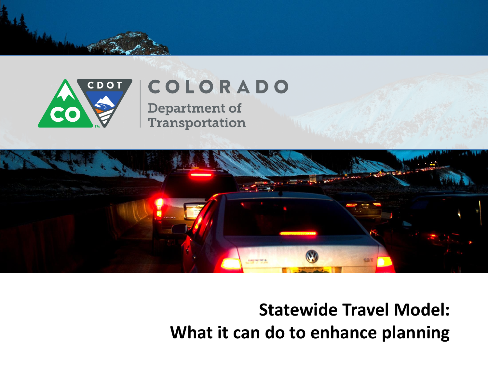

## COLORADO

**Department of** Transportation



## **Statewide Travel Model: What it can do to enhance planning**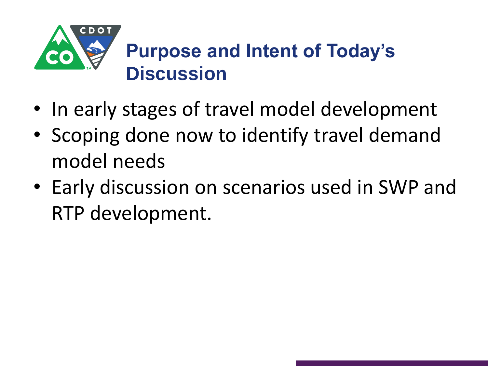

- In early stages of travel model development
- Scoping done now to identify travel demand model needs
- Early discussion on scenarios used in SWP and RTP development.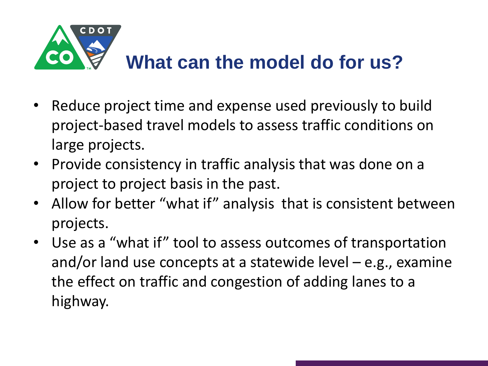

- Reduce project time and expense used previously to build project-based travel models to assess traffic conditions on large projects.
- Provide consistency in traffic analysis that was done on a project to project basis in the past.
- Allow for better "what if" analysis that is consistent between projects.
- Use as a "what if" tool to assess outcomes of transportation and/or land use concepts at a statewide level  $-$  e.g., examine the effect on traffic and congestion of adding lanes to a highway.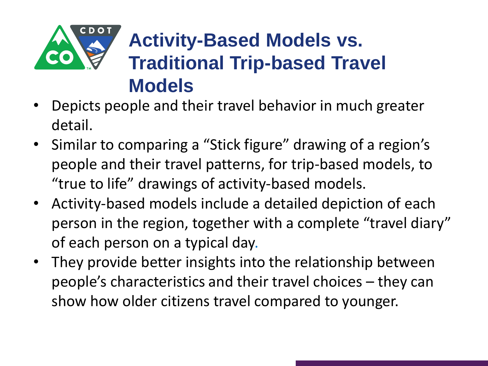

## **Activity-Based Models vs. Traditional Trip-based Travel Models**

- Depicts people and their travel behavior in much greater detail.
- Similar to comparing a "Stick figure" drawing of a region's people and their travel patterns, for trip-based models, to "true to life" drawings of activity-based models.
- Activity-based models include a detailed depiction of each person in the region, together with a complete "travel diary" of each person on a typical day.
- They provide better insights into the relationship between people's characteristics and their travel choices – they can show how older citizens travel compared to younger.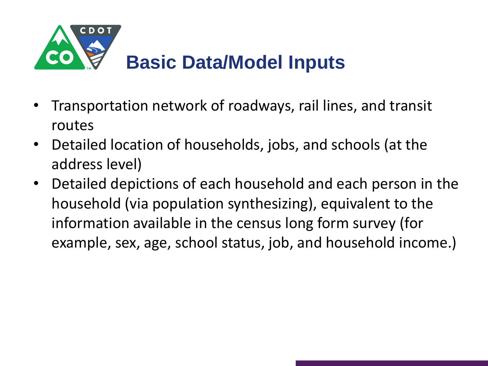

- Transportation network of roadways, rail lines, and transit routes
- Detailed location of households, jobs, and schools (at the address level)
- Detailed depictions of each household and each person in the household (via population synthesizing), equivalent to the information available in the census long form survey (for example, sex, age, school status, job, and household income.)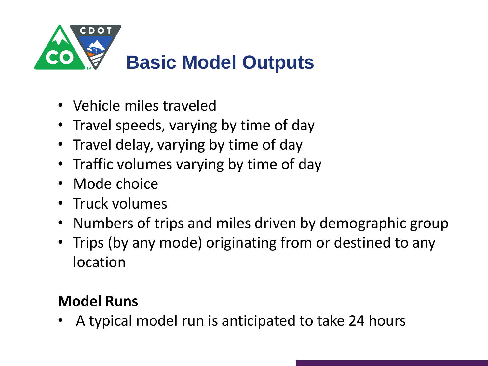

- Vehicle miles traveled
- Travel speeds, varying by time of day
- Travel delay, varying by time of day
- Traffic volumes varying by time of day
- Mode choice
- Truck volumes
- Numbers of trips and miles driven by demographic group
- Trips (by any mode) originating from or destined to any location

## **Model Runs**

• A typical model run is anticipated to take 24 hours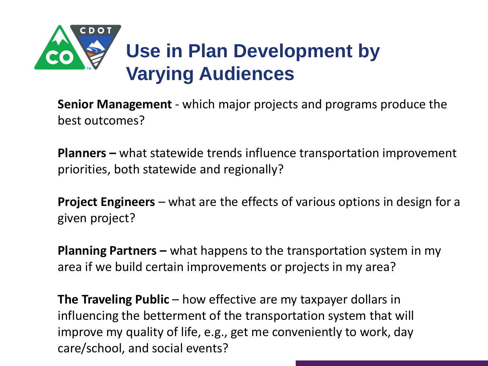

**Senior Management** - which major projects and programs produce the best outcomes?

**Planners –** what statewide trends influence transportation improvement priorities, both statewide and regionally?

**Project Engineers** – what are the effects of various options in design for a given project?

**Planning Partners –** what happens to the transportation system in my area if we build certain improvements or projects in my area?

**The Traveling Public** – how effective are my taxpayer dollars in influencing the betterment of the transportation system that will improve my quality of life, e.g., get me conveniently to work, day care/school, and social events?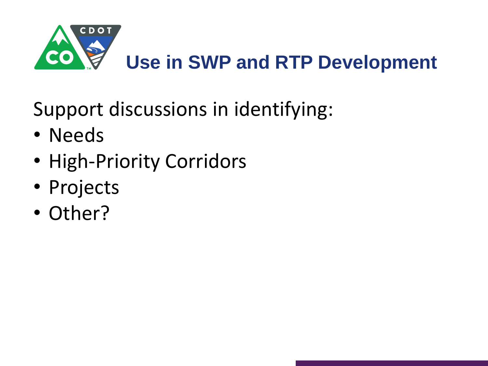

Support discussions in identifying:

- Needs
- High-Priority Corridors
- Projects
- Other?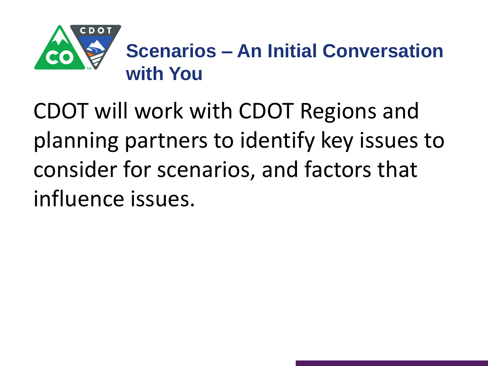

CDOT will work with CDOT Regions and planning partners to identify key issues to consider for scenarios, and factors that influence issues.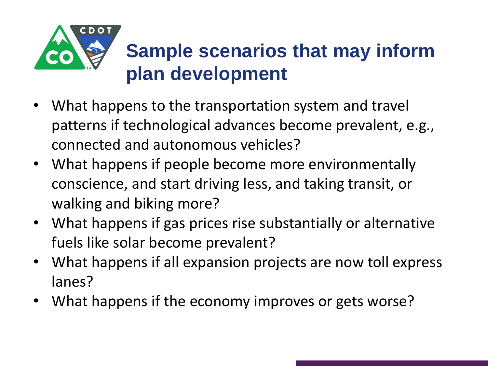

- What happens to the transportation system and travel patterns if technological advances become prevalent, e.g., connected and autonomous vehicles?
- What happens if people become more environmentally conscience, and start driving less, and taking transit, or walking and biking more?
- What happens if gas prices rise substantially or alternative fuels like solar become prevalent?
- What happens if all expansion projects are now toll express lanes?
- What happens if the economy improves or gets worse?